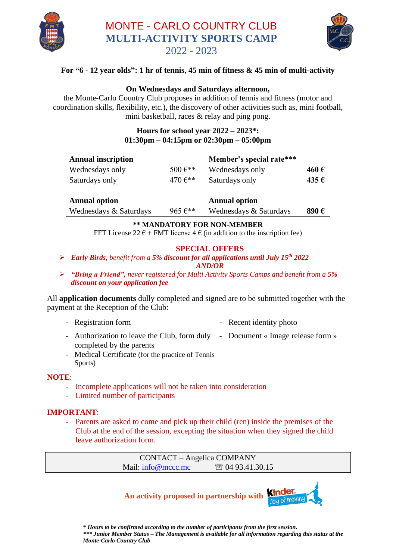

## MONTE - CARLO COUNTRY CLUB **MULTI-ACTIVITY SPORTS CAMP** 2022 - 2023



## **For "6 - 12 year olds": 1 hr of tennis**, **45 min of fitness & 45 min of multi-activity**

#### **On Wednesdays and Saturdays afternoon,**

the Monte-Carlo Country Club proposes in addition of tennis and fitness (motor and coordination skills, flexibility, etc.), the discovery of other activities such as, mini football, mini basketball, races & relay and ping pong.

#### **Hours for school year 2022 – 2023\*: 01:30pm – 04:15pm or 02:30pm – 05:00pm**

| <b>Annual inscription</b> |                         | Member's special rate*** |      |
|---------------------------|-------------------------|--------------------------|------|
| Wednesdays only           | 500 $\varepsilon^{**}$  | Wednesdays only          | 460€ |
| Saturdays only            | 470 $E^{**}$            | Saturdays only           | 435€ |
| <b>Annual option</b>      |                         | <b>Annual option</b>     |      |
| Wednesdays & Saturdays    | $965 \,\mathrm{e}^{**}$ | Wednesdays & Saturdays   | 890€ |

#### **\*\* MANDATORY FOR NON-MEMBER**

FFT License 22  $\epsilon$  + FMT license 4  $\epsilon$  (in addition to the inscription fee)

### **SPECIAL OFFERS**

- ➢ *Early Birds, benefit from a 5% discount for all applications until July 15th 2022 AND/OR*
- ➢ *"Bring a Friend", never registered for Multi Activity Sports Camps and benefit from a 5% discount on your application fee*

All **application documents** dully completed and signed are to be submitted together with the payment at the Reception of the Club:

- Registration form  **Recent identity photo**
- Authorization to leave the Club, form duly Document « Image release form » completed by the parents
- Medical Certificate (for the practice of Tennis Sports)

#### **NOTE**:

- Incomplete applications will not be taken into consideration
- Limited number of participants

#### **IMPORTANT**:

- Parents are asked to come and pick up their child (ren) inside the premises of the Club at the end of the session, excepting the situation when they signed the child leave authorization form.

> CONTACT – Angelica COMPANY Mail: [info@mccc.mc](mailto:info@mccc.mc)  04 93.41.30.15

**An activity proposed in partnership with**